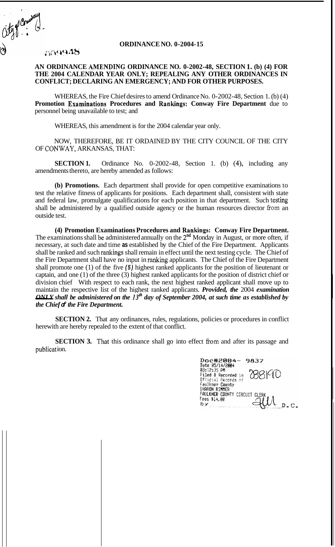**ORDINANCE NO. 0-2004-15** 

## *;3:)#444~1ti*

Oty of Council

## **AN ORDINANCE AME:NDING ORDINANCE NO. 0-2002-48, SECTION 1. (b) (4) FOR THE 2004 CALENDAR YEAR ONLY; REPEALING ANY OTHER ORDINANCES IN CONFLICT; DECLARING AN EMERGENCY; AND FOR OTHER PURPOSES.**

WHEREAS, the Fire Chief desires to amend Ordinance No. 0-2002-48, Section 1. (b) (4) **Promotion Examinations Procedures and Rankings: Conway Fire Department** due to personnel being unavailable to test; and

WHEREAS, this amendment is for the 2004 calendar year only.

NOW, THEREFORE, BE IT ORDAINED BY THE CITY COUNCIL OF THE CITY OF CONWAY, ARKANSAS, THAT:

**SECTION 1.** Ordinance No. 0-2002-48, Section 1. (b) (4), including any amendments thereto, are hereby amended as follows:

**(b) Promotions.** Each department shall provide for open competitive examinations to test the relative fitness of applicants for positions. Each department shall, consistent with state and federal law, promulgate qualifications for each position in that department. Such testing shall be administered by a qualified outside agency or the human resources director fiom an outside test.

**(4) Promotion Examinations Procedures and Rankings: Conway Fire Department.**  The examinations shall be administered annually on the 2<sup>nd</sup> Monday in August, or more often, if necessary, at such date and time **as** established by the Chief of the Fire Department. Applicants shall be ranked and such rankings shall remain in effect until the next testing cycle. The Chief of the Fire Department shall have no input in **ranking** applicants. The Chief of the Fire Department shall promote one (1) of the five *(5)* highest ranked applicants for the position of lieutenant or captain, and one (1) of the three (3) highest ranked applicants for the position of district chief or division chief With respect to each rank, the next highest ranked applicant shall move up to maintain the respective list of the highest ranked applicants. *Provided, the* 2004 *examination*  - *ONLY shall be administered on the 13th day of September 2004, at such time as established by the Chief*  $\text{I}$  *the Fire Department.* 

**SECTION 2.** That any ordinances, rules, regulations, policies or procedures in conflict herewith are hereby repealed to the extent of that conflict.

**SECTION 3.** That this ordinance shall go into effect from and after its passage and publication.

| Doc#2004-<br>9837<br>Date 05/14/2004          |
|-----------------------------------------------|
| 03:12:35 PM<br>Filed & Recorded<br>i n        |
| Ofticial Records of                           |
| Faulkner County<br>SHARON RIMMER              |
| FAULKNER COUNTY CIRCUIT CLERK<br>Fees \$14.00 |
|                                               |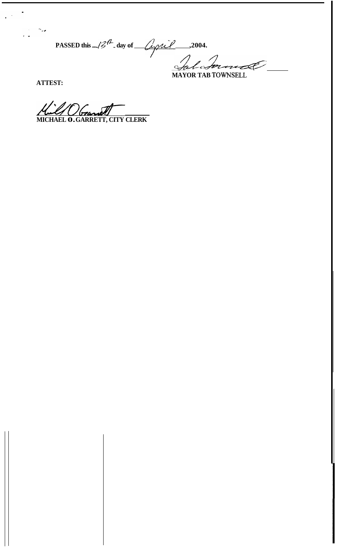PASSED this  $-12^4$ -day of  $\frac{2\pi i}{\pi}$ , 2004.

ATTEST:

 $\frac{1}{2}$  ,  $\frac{1}{2}$  ,  $\frac{1}{2}$ 

All Observet